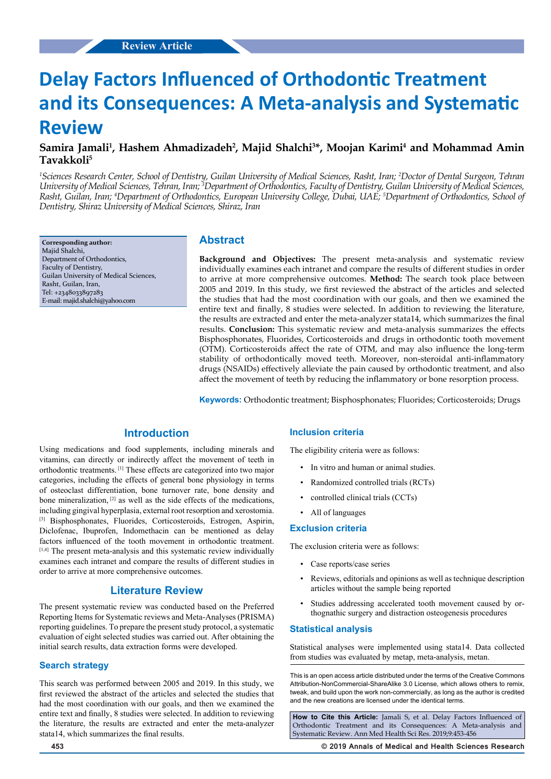# **Delay Factors Influenced of Orthodontic Treatment and its Consequences: A Meta-analysis and Systematic Review**

## Samira Jamali<sup>1</sup>, Hashem Ahmadizadeh<sup>2</sup>, Majid Shalchi<sup>3\*</sup>, Moojan Karimi<sup>4</sup> and Mohammad Amin **Tavakkoli5**

*1 Sciences Research Center, School of Dentistry, Guilan University of Medical Sciences, Rasht, Iran; 2 Doctor of Dental Surgeon, Tehran University of Medical Sciences, Tehran, Iran; 3 Department of Orthodontics, Faculty of Dentistry, Guilan University of Medical Sciences, Rasht, Guilan, Iran; 4 Department of Orthodontics, European University College, Dubai, UAE; 5 Department of Orthodontics, School of Dentistry, Shiraz University of Medical Sciences, Shiraz, Iran*

**Corresponding author:** Majid Shalchi, Department of Orthodontics, Faculty of Dentistry, Guilan University of Medical Sciences, Rasht, Guilan, Iran, Tel: +2348033897283 E-mail: majid.shalchi@yahoo.com

## **Abstract**

**Background and Objectives:** The present meta-analysis and systematic review individually examines each intranet and compare the results of different studies in order to arrive at more comprehensive outcomes. **Method:** The search took place between 2005 and 2019. In this study, we first reviewed the abstract of the articles and selected the studies that had the most coordination with our goals, and then we examined the entire text and finally, 8 studies were selected. In addition to reviewing the literature, the results are extracted and enter the meta-analyzer stata14, which summarizes the final results. **Conclusion:** This systematic review and meta-analysis summarizes the effects Bisphosphonates, Fluorides, Corticosteroids and drugs in orthodontic tooth movement (OTM). Corticosteroids affect the rate of OTM, and may also influence the long-term stability of orthodontically moved teeth. Moreover, non-steroidal anti-inflammatory drugs (NSAIDs) effectively alleviate the pain caused by orthodontic treatment, and also affect the movement of teeth by reducing the inflammatory or bone resorption process.

**Keywords:** Orthodontic treatment; Bisphosphonates; Fluorides; Corticosteroids; Drugs

## **Introduction**

Using medications and food supplements, including minerals and vitamins, can directly or indirectly affect the movement of teeth in orthodontic treatments. [1] These effects are categorized into two major categories, including the effects of general bone physiology in terms of osteoclast differentiation, bone turnover rate, bone density and bone mineralization, [2] as well as the side effects of the medications, including gingival hyperplasia, external root resorption and xerostomia. [3] Bisphosphonates, Fluorides, Corticosteroids, Estrogen, Aspirin, Diclofenac, Ibuprofen, Indomethacin can be mentioned as delay factors influenced of the tooth movement in orthodontic treatment. [1,4] The present meta-analysis and this systematic review individually examines each intranet and compare the results of different studies in order to arrive at more comprehensive outcomes.

## **Literature Review**

The present systematic review was conducted based on the Preferred Reporting Items for Systematic reviews and Meta-Analyses (PRISMA) reporting guidelines. To prepare the present study protocol, a systematic evaluation of eight selected studies was carried out. After obtaining the initial search results, data extraction forms were developed.

#### **Search strategy**

This search was performed between 2005 and 2019. In this study, we first reviewed the abstract of the articles and selected the studies that had the most coordination with our goals, and then we examined the entire text and finally, 8 studies were selected. In addition to reviewing the literature, the results are extracted and enter the meta-analyzer stata14, which summarizes the final results.

#### **Inclusion criteria**

The eligibility criteria were as follows:

- In vitro and human or animal studies.
- Randomized controlled trials (RCTs)
- controlled clinical trials (CCTs)
- All of languages

#### **Exclusion criteria**

The exclusion criteria were as follows:

- Case reports/case series
- Reviews, editorials and opinions as well as technique description articles without the sample being reported
- Studies addressing accelerated tooth movement caused by orthognathic surgery and distraction osteogenesis procedures

#### **Statistical analysis**

Statistical analyses were implemented using stata14. Data collected from studies was evaluated by metap, meta-analysis, metan.

This is an open access article distributed under the terms of the Creative Commons Attribution‑NonCommercial‑ShareAlike 3.0 License, which allows others to remix, tweak, and build upon the work non‑commercially, as long as the author is credited and the new creations are licensed under the identical terms.

**How to Cite this Article:** Jamali S, et al. Delay Factors Influenced of Orthodontic Treatment and its Consequences: A Meta-analysis and Systematic Review. Ann Med Health Sci Res. 2019;9:453-456

**453 © 2019 Annals of Medical and Health Sciences Research**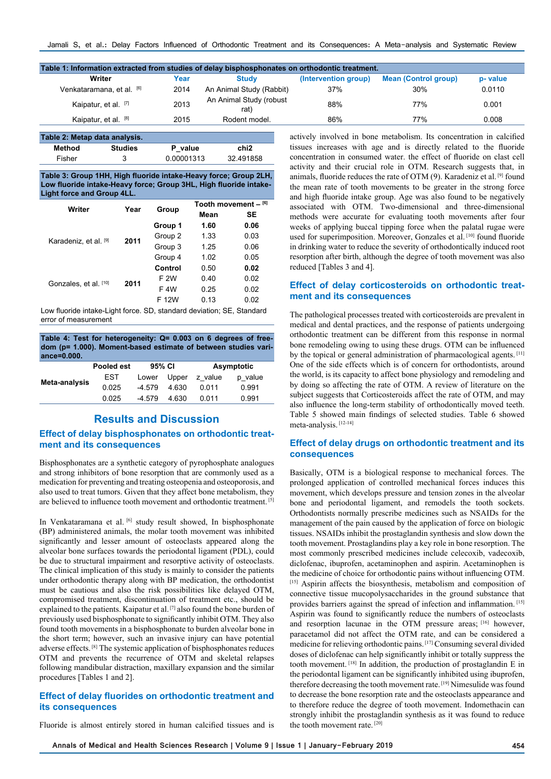| Table 1: Information extracted from studies of delay bisphosphonates on orthodontic treatment. |      |                                 |                      |                             |         |
|------------------------------------------------------------------------------------------------|------|---------------------------------|----------------------|-----------------------------|---------|
| Writer                                                                                         | Year | <b>Study</b>                    | (Intervention group) | <b>Mean (Control group)</b> | p-value |
| Venkataramana, et al. [6]                                                                      | 2014 | An Animal Study (Rabbit)        | 37%                  | 30%                         | 0.0110  |
| Kaipatur, et al. [7]                                                                           | 2013 | An Animal Study (robust<br>rat) | 88%                  | 77%                         | 0.001   |
| Kaipatur, et al. [8]                                                                           | 2015 | Rodent model.                   | 86%                  | 77%                         | 0.008   |
|                                                                                                |      |                                 |                      |                             |         |

| Table 2: Metap data analysis. |                |            |           |
|-------------------------------|----------------|------------|-----------|
| Method                        | <b>Studies</b> | P value    | chi2      |
| Fisher                        | 3              | 0.00001313 | 32.491858 |

**Table 3: Group 1HH, High fluoride intake-Heavy force; Group 2LH, Low fluoride intake-Heavy force; Group 3HL, High fluoride intake-Light force and Group 4LL.**

| Writer                | Year | Group   |      | Tooth movement $-$ [6] |  |
|-----------------------|------|---------|------|------------------------|--|
|                       |      |         | Mean | SE.                    |  |
|                       |      | Group 1 | 1.60 | 0.06                   |  |
|                       | 2011 | Group 2 | 1.33 | 0.03                   |  |
| Karadeniz, et al. [9] |      | Group 3 | 1.25 | 0.06                   |  |
|                       |      | Group 4 | 1.02 | 0.05                   |  |
|                       |      | Control | 0.50 | 0.02                   |  |
| Gonzales, et al. [10] | 2011 | F 2W    | 0.40 | 0.02                   |  |
|                       |      | F 4W    | 0.25 | 0.02                   |  |
|                       |      | F 12W   | 0.13 | 0.02                   |  |

Low fluoride intake-Light force. SD, standard deviation; SE, Standard error of measurement

**Table 4: Test for heterogeneity: Q= 0.003 on 6 degrees of freedom (p= 1.000). Moment-based estimate of between studies variance=0.000.**

|               | Pooled est | 95% CI   |       |         | Asymptotic |
|---------------|------------|----------|-------|---------|------------|
| Meta-analysis | EST        | Lower    | Upper | z value | p value    |
|               | 0.025      | $-4.579$ | 4.630 | 0.011   | 0.991      |
|               | 0.025      | -4.579   | 4.630 | 0 011   | 0.991      |
|               |            |          |       |         |            |

## **Results and Discussion**

## **Effect of delay bisphosphonates on orthodontic treatment and its consequences**

Bisphosphonates are a synthetic category of pyrophosphate analogues and strong inhibitors of bone resorption that are commonly used as a medication for preventing and treating osteopenia and osteoporosis, and also used to treat tumors. Given that they affect bone metabolism, they are believed to influence tooth movement and orthodontic treatment. [5]

In Venkataramana et al. [6] study result showed, In bisphosphonate (BP) administered animals, the molar tooth movement was inhibited significantly and lesser amount of osteoclasts appeared along the alveolar bone surfaces towards the periodontal ligament (PDL), could be due to structural impairment and resorptive activity of osteoclasts. The clinical implication of this study is mainly to consider the patients under orthodontic therapy along with BP medication, the orthodontist must be cautious and also the risk possibilities like delayed OTM, compromised treatment, discontinuation of treatment etc., should be explained to the patients. Kaipatur et al. [7] also found the bone burden of previously used bisphosphonate to significantly inhibit OTM. They also found tooth movements in a bisphosphonate to burden alveolar bone in the short term; however, such an invasive injury can have potential adverse effects. [8] The systemic application of bisphosphonates reduces OTM and prevents the recurrence of OTM and skeletal relapses following mandibular distraction, maxillary expansion and the similar procedures [Tables 1 and 2].

### **Effect of delay fluorides on orthodontic treatment and its consequences**

Fluoride is almost entirely stored in human calcified tissues and is

actively involved in bone metabolism. Its concentration in calcified tissues increases with age and is directly related to the fluoride concentration in consumed water. the effect of fluoride on clast cell activity and their crucial role in OTM. Research suggests that, in animals, fluoride reduces the rate of OTM (9). Karadeniz et al. [9] found the mean rate of tooth movements to be greater in the strong force and high fluoride intake group. Age was also found to be negatively associated with OTM. Two-dimensional and three-dimensional methods were accurate for evaluating tooth movements after four weeks of applying buccal tipping force when the palatal rugae were used for superimposition. Moreover, Gonzales et al.<sup>[10]</sup> found fluoride in drinking water to reduce the severity of orthodontically induced root resorption after birth, although the degree of tooth movement was also reduced [Tables 3 and 4].

## **Effect of delay corticosteroids on orthodontic treatment and its consequences**

The pathological processes treated with corticosteroids are prevalent in medical and dental practices, and the response of patients undergoing orthodontic treatment can be different from this response in normal bone remodeling owing to using these drugs. OTM can be influenced by the topical or general administration of pharmacological agents. [11] One of the side effects which is of concern for orthodontists, around the world, is its capacity to affect bone physiology and remodeling and by doing so affecting the rate of OTM. A review of literature on the subject suggests that Corticosteroids affect the rate of OTM, and may also influence the long-term stability of orthodontically moved teeth. Table 5 showed main findings of selected studies. Table 6 showed meta-analysis. [12-14]

## **Effect of delay drugs on orthodontic treatment and its consequences**

Basically, OTM is a biological response to mechanical forces. The prolonged application of controlled mechanical forces induces this movement, which develops pressure and tension zones in the alveolar bone and periodontal ligament, and remodels the tooth sockets. Orthodontists normally prescribe medicines such as NSAIDs for the management of the pain caused by the application of force on biologic tissues. NSAIDs inhibit the prostaglandin synthesis and slow down the tooth movement. Prostaglandins play a key role in bone resorption. The most commonly prescribed medicines include celecoxib, vadecoxib, diclofenac, ibuprofen, acetaminophen and aspirin. Acetaminophen is the medicine of choice for orthodontic pains without influencing OTM. [15] Aspirin affects the biosynthesis, metabolism and composition of connective tissue mucopolysaccharides in the ground substance that provides barriers against the spread of infection and inflammation. [15] Aspirin was found to significantly reduce the numbers of osteoclasts and resorption lacunae in the OTM pressure areas; [16] however, paracetamol did not affect the OTM rate, and can be considered a medicine for relieving orthodontic pains. [17] Consuming several divided doses of diclofenac can help significantly inhibit or totally suppress the tooth movement. [18] In addition, the production of prostaglandin E in the periodontal ligament can be significantly inhibited using ibuprofen, therefore decreasing the tooth movement rate. [19] Nimesulide was found to decrease the bone resorption rate and the osteoclasts appearance and to therefore reduce the degree of tooth movement. Indomethacin can strongly inhibit the prostaglandin synthesis as it was found to reduce the tooth movement rate. [20]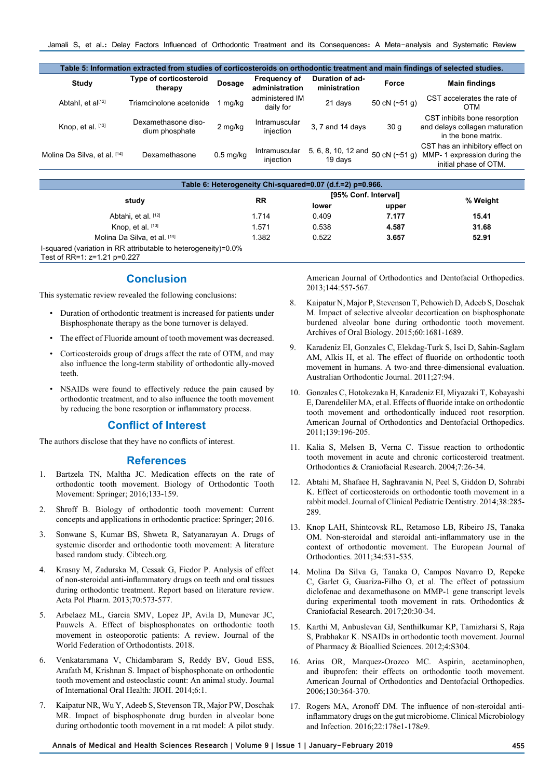Jamali S, et al.: Delay Factors Influenced of Orthodontic Treatment and its Consequences: A Meta-analysis and Systematic Review

|                              | Table 5: Information extracted from studies of corticosteroids on orthodontic treatment and main findings of selected studies. |             |                                |                                 |                 |                                                                                         |
|------------------------------|--------------------------------------------------------------------------------------------------------------------------------|-------------|--------------------------------|---------------------------------|-----------------|-----------------------------------------------------------------------------------------|
| <b>Study</b>                 | <b>Type of corticosteroid</b><br>therapy                                                                                       | Dosage      | Frequency of<br>administration | Duration of ad-<br>ministration | Force           | <b>Main findings</b>                                                                    |
| Abtahl, et al[12]            | Triamcinolone acetonide                                                                                                        | mg/kg       | administered IM<br>daily for   | 21 days                         | 50 cN $(-51 q)$ | CST accelerates the rate of<br>OTM                                                      |
| Knop, et al. [13]            | Dexamethasone diso-<br>dium phosphate                                                                                          | 2 mg/kg     | Intramuscular<br>injection     | 3, 7 and 14 days                | 30q             | CST inhibits bone resorption<br>and delays collagen maturation<br>in the bone matrix.   |
| Molina Da Silva, et al. [14] | Dexamethasone                                                                                                                  | $0.5$ mg/kg | Intramuscular<br>injection     | 5, 6, 8, 10, 12 and<br>19 days  | 50 cN $(-51 g)$ | CST has an inhibitory effect on<br>MMP-1 expression during the<br>initial phase of OTM. |
|                              |                                                                                                                                |             |                                |                                 |                 |                                                                                         |

|                                                                                                  |           | Table 6: Heterogeneity Chi-squared=0.07 (d.f.=2) p=0.966. | [95% Conf. Interval] |       |
|--------------------------------------------------------------------------------------------------|-----------|-----------------------------------------------------------|----------------------|-------|
| study                                                                                            | <b>RR</b> |                                                           | % Weight             |       |
|                                                                                                  |           | lower                                                     | upper                |       |
| Abtahi, et al. [12]                                                                              | 1.714     | 0.409                                                     | 7.177                | 15.41 |
| Knop, et al. $[13]$                                                                              | 1.571     | 0.538                                                     | 4.587                | 31.68 |
| Molina Da Silva, et al. [14]                                                                     | 1.382     | 0.522                                                     | 3.657                | 52.91 |
| I-squared (variation in RR attributable to heterogeneity)=0.0%<br>Test of RR=1: $z=1.21$ p=0.227 |           |                                                           |                      |       |

## **Conclusion**

This systematic review revealed the following conclusions:

- Duration of orthodontic treatment is increased for patients under Bisphosphonate therapy as the bone turnover is delayed.
- The effect of Fluoride amount of tooth movement was decreased.
- Corticosteroids group of drugs affect the rate of OTM, and may also influence the long-term stability of orthodontic ally-moved teeth.
- NSAIDs were found to effectively reduce the pain caused by orthodontic treatment, and to also influence the tooth movement by reducing the bone resorption or inflammatory process.

#### **Conflict of Interest**

The authors disclose that they have no conflicts of interest.

#### **References**

- 1. Bartzela TN, Maltha JC. Medication effects on the rate of orthodontic tooth movement. Biology of Orthodontic Tooth Movement: Springer; 2016;133-159.
- 2. Shroff B. Biology of orthodontic tooth movement: Current concepts and applications in orthodontic practice: Springer; 2016.
- 3. Sonwane S, Kumar BS, Shweta R, Satyanarayan A. Drugs of systemic disorder and orthodontic tooth movement: A literature based random study. Cibtech.org.
- 4. Krasny M, Zadurska M, Cessak G, Fiedor P. Analysis of effect of non-steroidal anti-inflammatory drugs on teeth and oral tissues during orthodontic treatment. Report based on literature review. Acta Pol Pharm. 2013;70:573-577.
- 5. Arbelaez ML, Garcia SMV, Lopez JP, Avila D, Munevar JC, Pauwels A. Effect of bisphosphonates on orthodontic tooth movement in osteoporotic patients: A review. Journal of the World Federation of Orthodontists. 2018.
- 6. Venkataramana V, Chidambaram S, Reddy BV, Goud ESS, Arafath M, Krishnan S. Impact of bisphosphonate on orthodontic tooth movement and osteoclastic count: An animal study. Journal of International Oral Health: JIOH. 2014;6:1.
- 7. Kaipatur NR, Wu Y, Adeeb S, Stevenson TR, Major PW, Doschak MR. Impact of bisphosphonate drug burden in alveolar bone during orthodontic tooth movement in a rat model: A pilot study.

American Journal of Orthodontics and Dentofacial Orthopedics. 2013;144:557-567.

- 8. Kaipatur N, Major P, Stevenson T, Pehowich D, Adeeb S, Doschak M. Impact of selective alveolar decortication on bisphosphonate burdened alveolar bone during orthodontic tooth movement. Archives of Oral Biology. 2015;60:1681-1689.
- 9. Karadeniz EI, Gonzales C, Elekdag-Turk S, Isci D, Sahin-Saglam AM, Alkis H, et al. The effect of fluoride on orthodontic tooth movement in humans. A two-and three-dimensional evaluation. Australian Orthodontic Journal. 2011;27:94.
- 10. Gonzales C, Hotokezaka H, Karadeniz EI, Miyazaki T, Kobayashi E, Darendeliler MA, et al. Effects of fluoride intake on orthodontic tooth movement and orthodontically induced root resorption. American Journal of Orthodontics and Dentofacial Orthopedics. 2011;139:196-205.
- 11. Kalia S, Melsen B, Verna C. Tissue reaction to orthodontic tooth movement in acute and chronic corticosteroid treatment. Orthodontics & Craniofacial Research. 2004;7:26-34.
- 12. Abtahi M, Shafaee H, Saghravania N, Peel S, Giddon D, Sohrabi K. Effect of corticosteroids on orthodontic tooth movement in a rabbit model. Journal of Clinical Pediatric Dentistry. 2014;38:285- 289.
- 13. Knop LAH, Shintcovsk RL, Retamoso LB, Ribeiro JS, Tanaka OM. Non-steroidal and steroidal anti-inflammatory use in the context of orthodontic movement. The European Journal of Orthodontics. 2011;34:531-535.
- 14. Molina Da Silva G, Tanaka O, Campos Navarro D, Repeke C, Garlet G, Guariza-Filho O, et al. The effect of potassium diclofenac and dexamethasone on MMP-1 gene transcript levels during experimental tooth movement in rats. Orthodontics & Craniofacial Research. 2017;20:30-34.
- 15. Karthi M, Anbuslevan GJ, Senthilkumar KP, Tamizharsi S, Raja S, Prabhakar K. NSAIDs in orthodontic tooth movement. Journal of Pharmacy & Bioallied Sciences. 2012;4:S304.
- 16. Arias OR, Marquez-Orozco MC. Aspirin, acetaminophen, and ibuprofen: their effects on orthodontic tooth movement. American Journal of Orthodontics and Dentofacial Orthopedics. 2006;130:364-370.
- 17. Rogers MA, Aronoff DM. The influence of non-steroidal antiinflammatory drugs on the gut microbiome. Clinical Microbiology and Infection. 2016;22:178e1-178e9.

**Annals of Medical and Health Sciences Research | Volume 9 | Issue 1 | January-February 2019 455**